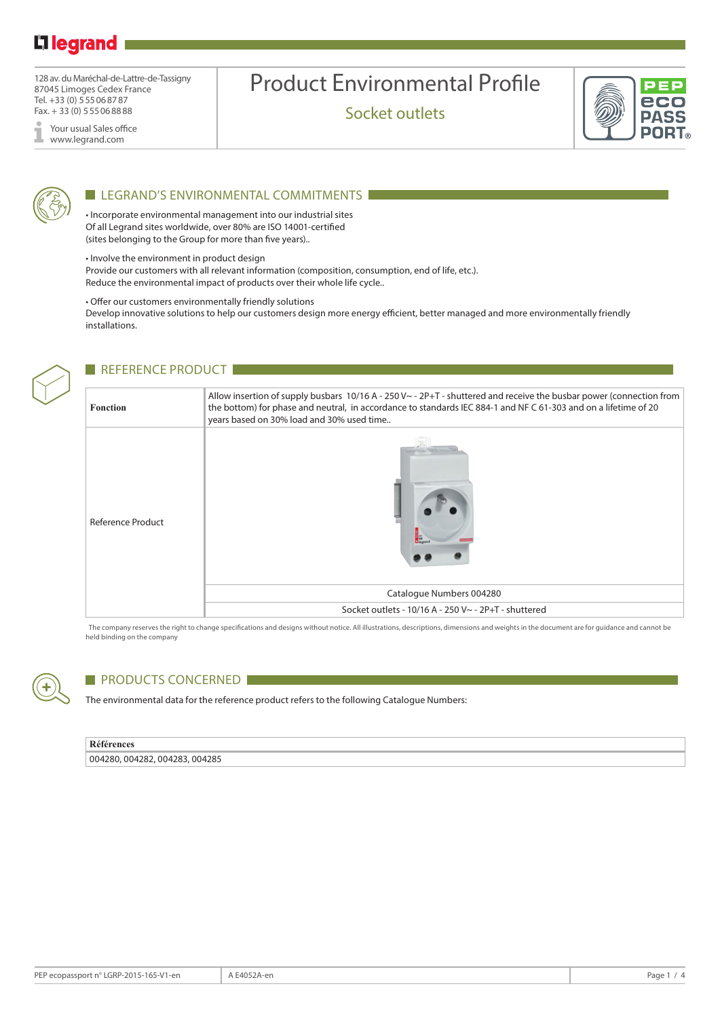# L<sub>legrand</sub>

128 av. du Maréchal-de-Lattre-de-Tassigny 87045 Limoges Cedex France Tel. +33 (0) 555068787 Fax. + 33 (0) 555068888

Your usual Sales office I www.legrand.com

# Product Environmental Profile

Socket outlets





### LEGRAND'S ENVIRONMENTAL COMMITMENTS

• Incorporate environmental management into our industrial sites Of all Legrand sites worldwide, over 80% are ISO 14001-certified (sites belonging to the Group for more than five years)..

• Involve the environment in product design

Provide our customers with all relevant information (composition, consumption, end of life, etc.). Reduce the environmental impact of products over their whole life cycle..

• Offer our customers environmentally friendly solutions

Develop innovative solutions to help our customers design more energy efficient, better managed and more environmentally friendly installations.



### REFERENCE PRODUCT

| Fonction                 | Allow insertion of supply busbars $10/16$ A - $250$ V $\sim$ - $2P+T$ - shuttered and receive the busbar power (connection from<br>the bottom) for phase and neutral, in accordance to standards IEC 884-1 and NF C 61-303 and on a lifetime of 20<br>years based on 30% load and 30% used time |
|--------------------------|-------------------------------------------------------------------------------------------------------------------------------------------------------------------------------------------------------------------------------------------------------------------------------------------------|
| <b>Reference Product</b> | Catalogue Numbers 004280                                                                                                                                                                                                                                                                        |
|                          | Socket outlets - 10/16 A - 250 V~ - 2P+T - shuttered                                                                                                                                                                                                                                            |

The company reserves the right to change specifications and designs without notice. All illustrations, descriptions, dimensions and weights in the document are for guidance and cannot be held binding on the company



# **PRODUCTS CONCERNED**

The environmental data for the reference product refers to the following Catalogue Numbers:

#### **Références**

004280, 004282, 004283, 004285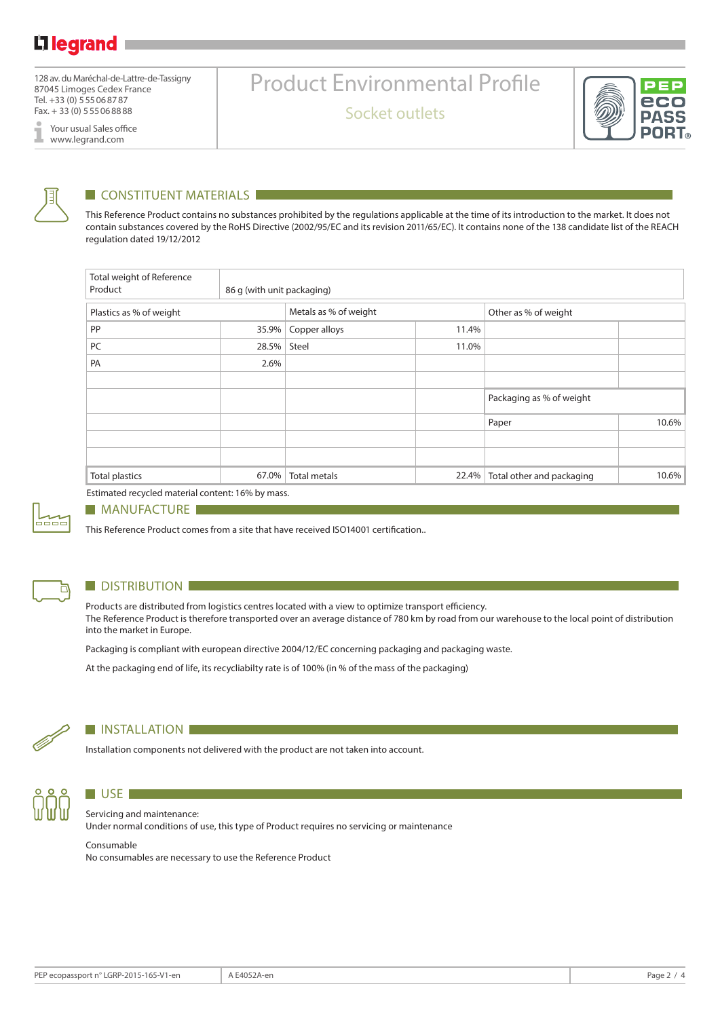128 av. du Maréchal-de-Lattre-de-Tassigny 87045 Limoges Cedex France Tel. +33 (0) 555068787 Fax. + 33 (0) 555068888

Your usual Sales office I www.legrand.com

# Product Environmental Profile

Socket outlets





# **CONSTITUENT MATERIALS**

This Reference Product contains no substances prohibited by the regulations applicable at the time of its introduction to the market. It does not contain substances covered by the RoHS Directive (2002/95/EC and its revision 2011/65/EC). It contains none of the 138 candidate list of the REACH regulation dated 19/12/2012

| Total weight of Reference<br>Product | 86 g (with unit packaging) |                       |       |                           |       |  |
|--------------------------------------|----------------------------|-----------------------|-------|---------------------------|-------|--|
| Plastics as % of weight              |                            | Metals as % of weight |       | Other as % of weight      |       |  |
| PP                                   | 35.9%                      | Copper alloys         | 11.4% |                           |       |  |
| PC                                   | 28.5%                      | Steel                 | 11.0% |                           |       |  |
| PA                                   | 2.6%                       |                       |       |                           |       |  |
|                                      |                            |                       |       |                           |       |  |
|                                      |                            |                       |       | Packaging as % of weight  |       |  |
|                                      |                            |                       |       | Paper                     | 10.6% |  |
|                                      |                            |                       |       |                           |       |  |
|                                      |                            |                       |       |                           |       |  |
| <b>Total plastics</b>                | 67.0%                      | <b>Total metals</b>   | 22.4% | Total other and packaging | 10.6% |  |

Estimated recycled material content: 16% by mass.



#### **MANUFACTURE**

This Reference Product comes from a site that have received ISO14001 certification..



### **DISTRIBUTION**

Products are distributed from logistics centres located with a view to optimize transport efficiency. The Reference Product is therefore transported over an average distance of 780 km by road from our warehouse to the local point of distribution into the market in Europe.

Packaging is compliant with european directive 2004/12/EC concerning packaging and packaging waste.

At the packaging end of life, its recycliabilty rate is of 100% (in % of the mass of the packaging)



#### **INSTALLATION**

Installation components not delivered with the product are not taken into account.



# $\blacksquare$  USE  $\blacksquare$ Servicing and maintenance:

Under normal conditions of use, this type of Product requires no servicing or maintenance

#### Consumable

No consumables are necessary to use the Reference Product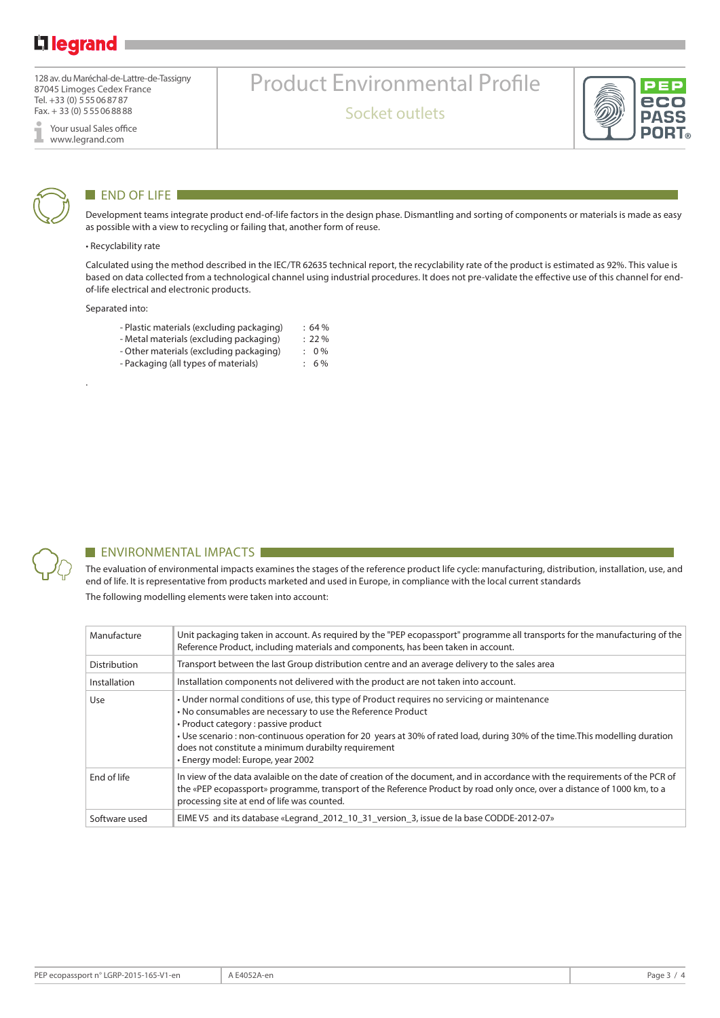# Lilegrand

128 av. du Maréchal-de-Lattre-de-Tassigny 87045 Limoges Cedex France Tel. +33 (0) 555068787 Fax. + 33 (0) 555068888

Your usual Sales office I www.legrand.com



### **END OF LIFE**

Development teams integrate product end-of-life factors in the design phase. Dismantling and sorting of components or materials is made as easy as possible with a view to recycling or failing that, another form of reuse.

Product Environmental Profile

Socket outlets

#### • Recyclability rate

Calculated using the method described in the IEC/TR 62635 technical report, the recyclability rate of the product is estimated as 92%. This value is based on data collected from a technological channel using industrial procedures. It does not pre-validate the effective use of this channel for endof-life electrical and electronic products.

Separated into:

.

- Plastic materials (excluding packaging) : 64 %<br>- Metal materials (excluding packaging) : 22 %
- Metal materials (excluding packaging)
- Other materials (excluding packaging) : 0 %
- Packaging (all types of materials) : 6%



#### **ENVIRONMENTAL IMPACTS**

The evaluation of environmental impacts examines the stages of the reference product life cycle: manufacturing, distribution, installation, use, and end of life. It is representative from products marketed and used in Europe, in compliance with the local current standards The following modelling elements were taken into account:

| Manufacture   | Unit packaging taken in account. As required by the "PEP ecopassport" programme all transports for the manufacturing of the<br>Reference Product, including materials and components, has been taken in account.                                                                                                                                                                                                               |
|---------------|--------------------------------------------------------------------------------------------------------------------------------------------------------------------------------------------------------------------------------------------------------------------------------------------------------------------------------------------------------------------------------------------------------------------------------|
| Distribution  | Transport between the last Group distribution centre and an average delivery to the sales area                                                                                                                                                                                                                                                                                                                                 |
| Installation  | Installation components not delivered with the product are not taken into account.                                                                                                                                                                                                                                                                                                                                             |
| Use           | • Under normal conditions of use, this type of Product requires no servicing or maintenance<br>• No consumables are necessary to use the Reference Product<br>• Product category : passive product<br>• Use scenario : non-continuous operation for 20 years at 30% of rated load, during 30% of the time. This modelling duration<br>does not constitute a minimum durabilty requirement<br>• Energy model: Europe, year 2002 |
| End of life   | In view of the data avalaible on the date of creation of the document, and in accordance with the requirements of the PCR of<br>the «PEP ecopassport» programme, transport of the Reference Product by road only once, over a distance of 1000 km, to a<br>processing site at end of life was counted.                                                                                                                         |
| Software used | EIME V5 and its database «Legrand_2012_10_31_version_3, issue de la base CODDE-2012-07»                                                                                                                                                                                                                                                                                                                                        |

ec **PASS** DUB.